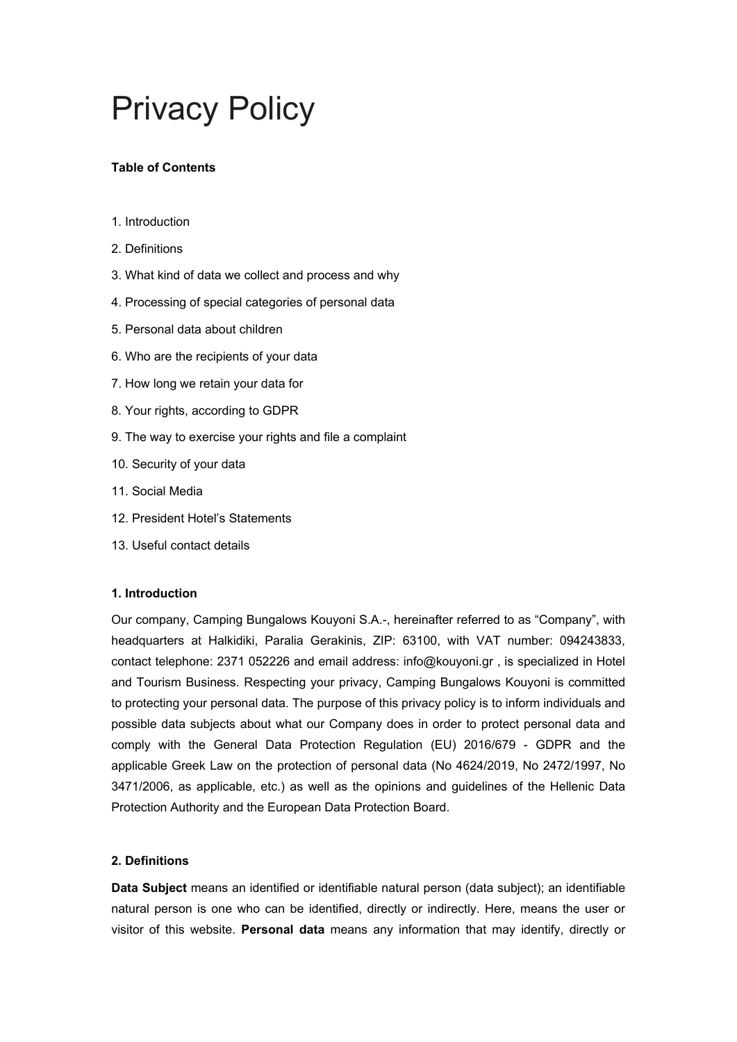# Privacy Policy

# **Table of Contents**

- 1. Introduction
- 2. Definitions
- 3. What kind of data we collect and process and why
- 4. Processing of special categories of personal data
- 5. Personal data about children
- 6. Who are the recipients of your data
- 7. How long we retain your data for
- 8. Your rights, according to GDPR
- 9. The way to exercise your rights and file a complaint
- 10. Security of your data
- 11. Social Media
- 12. President Hotel's Statements
- 13. Useful contact details

### **1. Introduction**

Our company, Camping Bungalows Kouyoni S.A.-, hereinafter referred to as "Company", with headquarters at Halkidiki, Paralia Gerakinis, ZIP: 63100, with VAT number: 094243833, contact telephone: 2371 052226 and email address: info@kouyoni.gr , is specialized in Hotel and Tourism Business. Respecting your privacy, Camping Bungalows Kouyoni is committed to protecting your personal data. The purpose of this privacy policy is to inform individuals and possible data subjects about what our Company does in order to protect personal data and comply with the General Data Protection Regulation (EU) 2016/679 - GDPR and the applicable Greek Law on the protection of personal data (No 4624/2019, No 2472/1997, No 3471/2006, as applicable, etc.) as well as the opinions and guidelines of the Hellenic Data Protection Authority and the European Data Protection Board.

# **2. Definitions**

**Data Subject** means an identified or identifiable natural person (data subject); an identifiable natural person is one who can be identified, directly or indirectly. Here, means the user or visitor of this website. **Personal data** means any information that may identify, directly or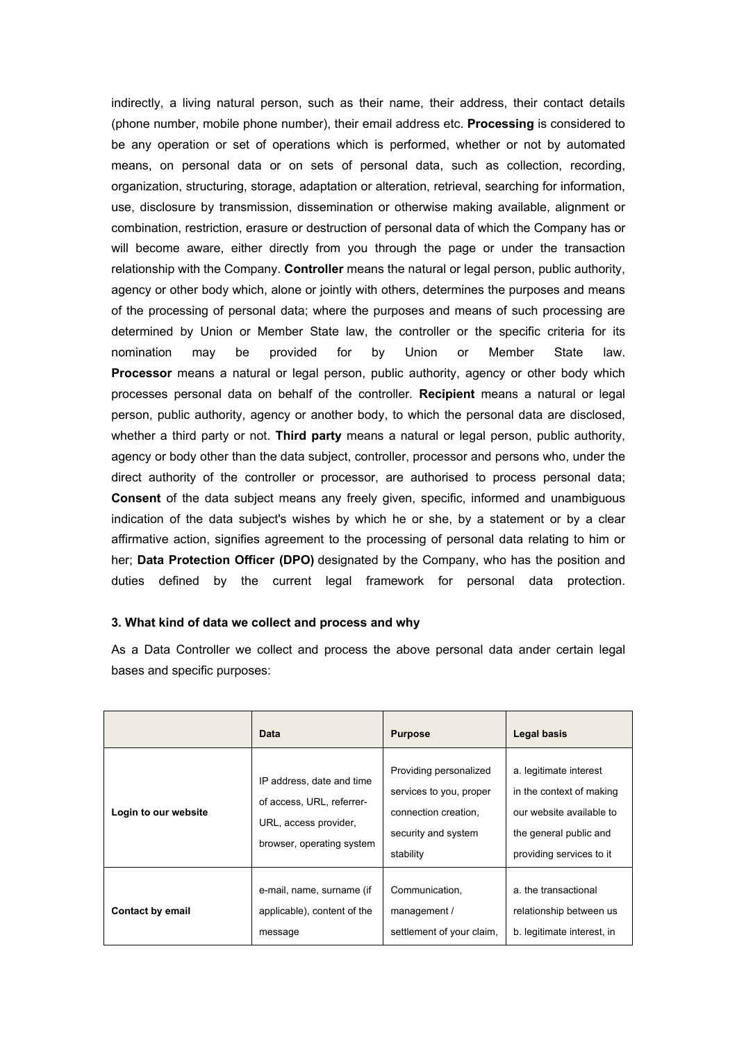indirectly, a living natural person, such as their name, their address, their contact details (phone number, mobile phone number), their email address etc. **Processing** is considered to be any operation or set of operations which is performed, whether or not by automated means, on personal data or on sets of personal data, such as collection, recording, organization, structuring, storage, adaptation or alteration, retrieval, searching for information, use, disclosure by transmission, dissemination or otherwise making available, alignment or combination, restriction, erasure or destruction of personal data of which the Company has or will become aware, either directly from you through the page or under the transaction relationship with the Company. **Controller** means the natural or legal person, public authority, agency or other body which, alone or jointly with others, determines the purposes and means of the processing of personal data; where the purposes and means of such processing are determined by Union or Member State law, the controller or the specific criteria for its nomination may be provided for by Union or Member State law. **Processor** means a natural or legal person, public authority, agency or other body which processes personal data on behalf of the controller. **Recipient** means a natural or legal person, public authority, agency or another body, to which the personal data are disclosed, whether a third party or not. **Third party** means a natural or legal person, public authority, agency or body other than the data subject, controller, processor and persons who, under the direct authority of the controller or processor, are authorised to process personal data; **Consent** of the data subject means any freely given, specific, informed and unambiguous indication of the data subject's wishes by which he or she, by a statement or by a clear affirmative action, signifies agreement to the processing of personal data relating to him or her; **Data Protection Officer (DPO)** designated by the Company, who has the position and duties defined by the current legal framework for personal data protection.

#### **3. What kind of data we collect and process and why**

As a Data Controller we collect and process the above personal data ander certain legal bases and specific purposes:

|                         | Data                                                                                                         | <b>Purpose</b>                                                                                                | Legal basis                                                                                                                          |
|-------------------------|--------------------------------------------------------------------------------------------------------------|---------------------------------------------------------------------------------------------------------------|--------------------------------------------------------------------------------------------------------------------------------------|
| Login to our website    | IP address, date and time<br>of access, URL, referrer-<br>URL, access provider,<br>browser, operating system | Providing personalized<br>services to you, proper<br>connection creation,<br>security and system<br>stability | a. legitimate interest<br>in the context of making<br>our website available to<br>the general public and<br>providing services to it |
| <b>Contact by email</b> | e-mail, name, surname (if<br>applicable), content of the<br>message                                          | Communication,<br>management /<br>settlement of your claim,                                                   | a. the transactional<br>relationship between us<br>b. legitimate interest, in                                                        |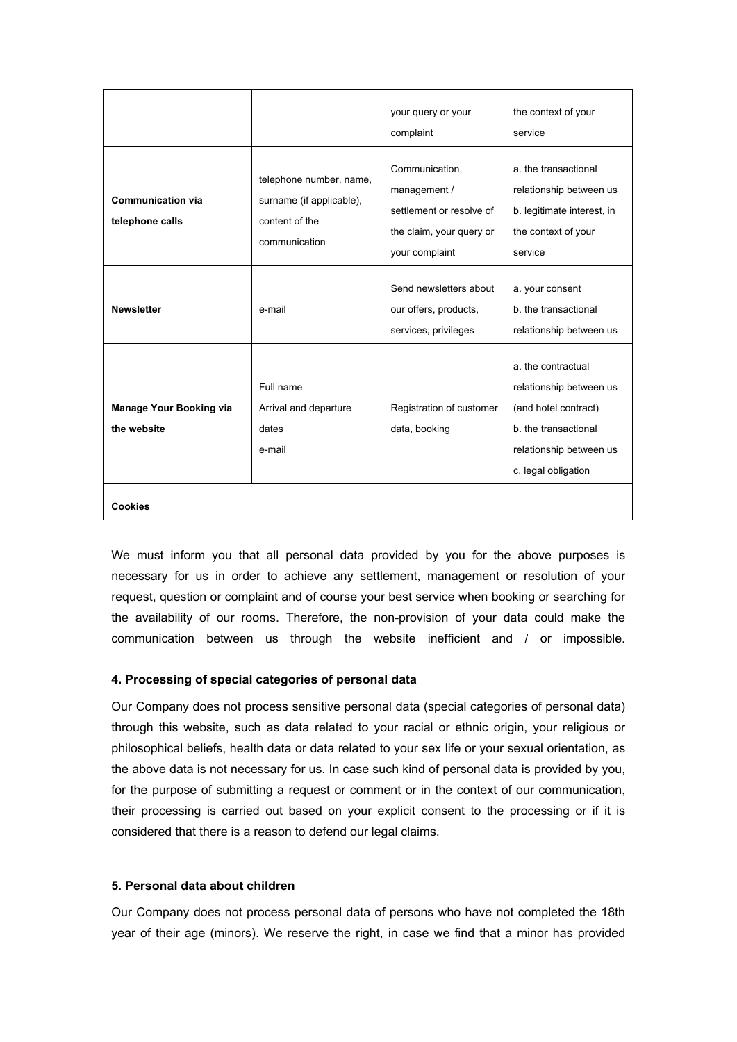|                                               |                                                                                        | your query or your<br>complaint                                                                          | the context of your<br>service                                                                                                                  |
|-----------------------------------------------|----------------------------------------------------------------------------------------|----------------------------------------------------------------------------------------------------------|-------------------------------------------------------------------------------------------------------------------------------------------------|
| <b>Communication via</b><br>telephone calls   | telephone number, name,<br>surname (if applicable),<br>content of the<br>communication | Communication,<br>management /<br>settlement or resolve of<br>the claim, your query or<br>your complaint | a. the transactional<br>relationship between us<br>b. legitimate interest, in<br>the context of your<br>service                                 |
| <b>Newsletter</b>                             | e-mail                                                                                 | Send newsletters about<br>our offers, products,<br>services, privileges                                  | a. your consent<br>b. the transactional<br>relationship between us                                                                              |
| <b>Manage Your Booking via</b><br>the website | Full name<br>Arrival and departure<br>dates<br>e-mail                                  | Registration of customer<br>data, booking                                                                | a. the contractual<br>relationship between us<br>(and hotel contract)<br>b. the transactional<br>relationship between us<br>c. legal obligation |
| <b>Cookies</b>                                |                                                                                        |                                                                                                          |                                                                                                                                                 |

We must inform you that all personal data provided by you for the above purposes is necessary for us in order to achieve any settlement, management or resolution of your request, question or complaint and of course your best service when booking or searching for the availability of our rooms. Therefore, the non-provision of your data could make the communication between us through the website inefficient and / or impossible.

# **4. Processing of special categories of personal data**

Our Company does not process sensitive personal data (special categories of personal data) through this website, such as data related to your racial or ethnic origin, your religious or philosophical beliefs, health data or data related to your sex life or your sexual orientation, as the above data is not necessary for us. In case such kind of personal data is provided by you, for the purpose of submitting a request or comment or in the context of our communication, their processing is carried out based on your explicit consent to the processing or if it is considered that there is a reason to defend our legal claims.

#### **5. Personal data about children**

Our Company does not process personal data of persons who have not completed the 18th year of their age (minors). We reserve the right, in case we find that a minor has provided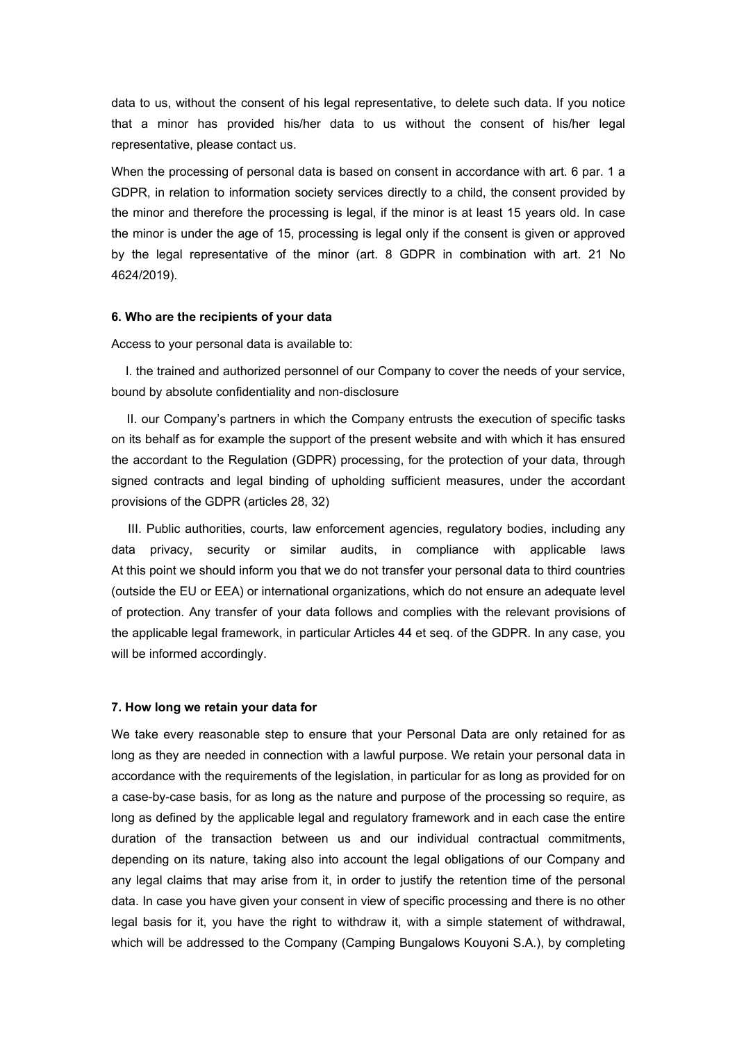data to us, without the consent of his legal representative, to delete such data. If you notice that a minor has provided his/her data to us without the consent of his/her legal representative, please contact us.

When the processing of personal data is based on consent in accordance with art. 6 par. 1 a GDPR, in relation to information society services directly to a child, the consent provided by the minor and therefore the processing is legal, if the minor is at least 15 years old. In case the minor is under the age of 15, processing is legal only if the consent is given or approved by the legal representative of the minor (art. 8 GDPR in combination with art. 21 No 4624/2019).

#### **6. Who are the recipients of your data**

Access to your personal data is available to:

 I. the trained and authorized personnel of our Company to cover the needs of your service, bound by absolute confidentiality and non-disclosure

 II. our Company's partners in which the Company entrusts the execution of specific tasks on its behalf as for example the support of the present website and with which it has ensured the accordant to the Regulation (GDPR) processing, for the protection of your data, through signed contracts and legal binding of upholding sufficient measures, under the accordant provisions of the GDPR (articles 28, 32)

 III. Public authorities, courts, law enforcement agencies, regulatory bodies, including any data privacy, security or similar audits, in compliance with applicable laws At this point we should inform you that we do not transfer your personal data to third countries (outside the EU or EEA) or international organizations, which do not ensure an adequate level of protection. Any transfer of your data follows and complies with the relevant provisions of the applicable legal framework, in particular Articles 44 et seq. of the GDPR. In any case, you will be informed accordingly.

#### **7. How long we retain your data for**

We take every reasonable step to ensure that your Personal Data are only retained for as long as they are needed in connection with a lawful purpose. We retain your personal data in accordance with the requirements of the legislation, in particular for as long as provided for on a case-by-case basis, for as long as the nature and purpose of the processing so require, as long as defined by the applicable legal and regulatory framework and in each case the entire duration of the transaction between us and our individual contractual commitments, depending on its nature, taking also into account the legal obligations of our Company and any legal claims that may arise from it, in order to justify the retention time of the personal data. In case you have given your consent in view of specific processing and there is no other legal basis for it, you have the right to withdraw it, with a simple statement of withdrawal, which will be addressed to the Company (Camping Bungalows Kouyoni S.A.), by completing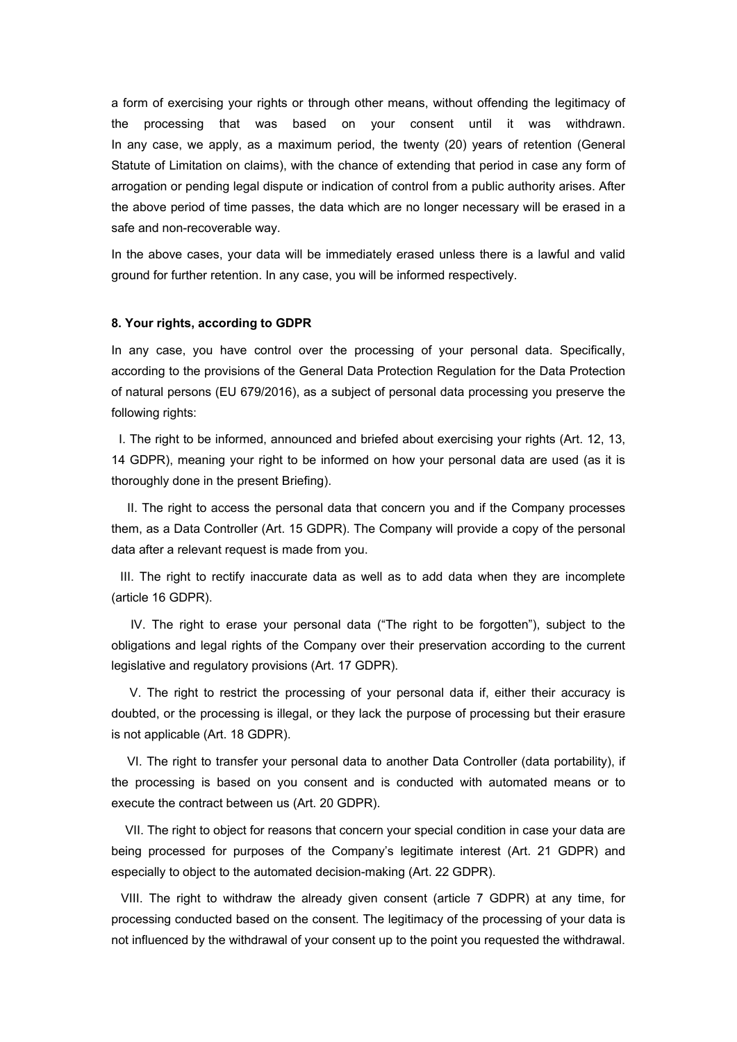a form of exercising your rights or through other means, without offending the legitimacy of the processing that was based on your consent until it was withdrawn. In any case, we apply, as a maximum period, the twenty (20) years of retention (General Statute of Limitation on claims), with the chance of extending that period in case any form of arrogation or pending legal dispute or indication of control from a public authority arises. After the above period of time passes, the data which are no longer necessary will be erased in a safe and non-recoverable way.

In the above cases, your data will be immediately erased unless there is a lawful and valid ground for further retention. In any case, you will be informed respectively.

#### **8. Your rights, according to GDPR**

In any case, you have control over the processing of your personal data. Specifically, according to the provisions of the General Data Protection Regulation for the Data Protection of natural persons (EU 679/2016), as a subject of personal data processing you preserve the following rights:

 I. The right to be informed, announced and briefed about exercising your rights (Art. 12, 13, 14 GDPR), meaning your right to be informed on how your personal data are used (as it is thoroughly done in the present Briefing).

 II. The right to access the personal data that concern you and if the Company processes them, as a Data Controller (Art. 15 GDPR). The Company will provide a copy of the personal data after a relevant request is made from you.

 III. The right to rectify inaccurate data as well as to add data when they are incomplete (article 16 GDPR).

 IV. The right to erase your personal data ("The right to be forgotten"), subject to the obligations and legal rights of the Company over their preservation according to the current legislative and regulatory provisions (Art. 17 GDPR).

 V. The right to restrict the processing of your personal data if, either their accuracy is doubted, or the processing is illegal, or they lack the purpose of processing but their erasure is not applicable (Art. 18 GDPR).

 VI. The right to transfer your personal data to another Data Controller (data portability), if the processing is based on you consent and is conducted with automated means or to execute the contract between us (Art. 20 GDPR).

 VII. The right to object for reasons that concern your special condition in case your data are being processed for purposes of the Company's legitimate interest (Art. 21 GDPR) and especially to object to the automated decision-making (Art. 22 GDPR).

 VIII. The right to withdraw the already given consent (article 7 GDPR) at any time, for processing conducted based on the consent. The legitimacy of the processing of your data is not influenced by the withdrawal of your consent up to the point you requested the withdrawal.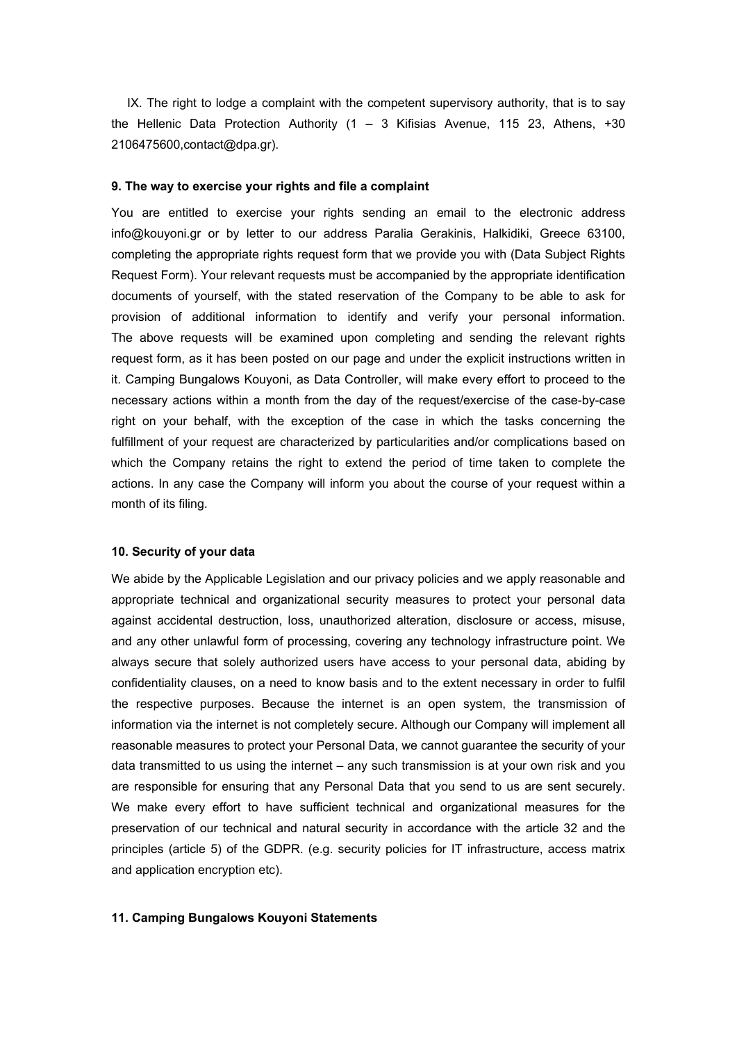IX. The right to lodge a complaint with the competent supervisory authority, that is to say the Hellenic Data Protection Authority (1 – 3 Kifisias Avenue, 115 23, Athens, +30 2106475600,contact@dpa.gr).

#### **9. The way to exercise your rights and file a complaint**

You are entitled to exercise your rights sending an email to the electronic address info@kouyoni.gr or by letter to our address Paralia Gerakinis, Halkidiki, Greece 63100, completing the appropriate rights request form that we provide you with (Data Subject Rights Request Form). Your relevant requests must be accompanied by the appropriate identification documents of yourself, with the stated reservation of the Company to be able to ask for provision of additional information to identify and verify your personal information. The above requests will be examined upon completing and sending the relevant rights request form, as it has been posted on our page and under the explicit instructions written in it. Camping Bungalows Kouyoni, as Data Controller, will make every effort to proceed to the necessary actions within a month from the day of the request/exercise of the case-by-case right on your behalf, with the exception of the case in which the tasks concerning the fulfillment of your request are characterized by particularities and/or complications based on which the Company retains the right to extend the period of time taken to complete the actions. In any case the Company will inform you about the course of your request within a month of its filing.

#### **10. Security of your data**

We abide by the Applicable Legislation and our privacy policies and we apply reasonable and appropriate technical and organizational security measures to protect your personal data against accidental destruction, loss, unauthorized alteration, disclosure or access, misuse, and any other unlawful form of processing, covering any technology infrastructure point. We always secure that solely authorized users have access to your personal data, abiding by confidentiality clauses, on a need to know basis and to the extent necessary in order to fulfil the respective purposes. Because the internet is an open system, the transmission of information via the internet is not completely secure. Although our Company will implement all reasonable measures to protect your Personal Data, we cannot guarantee the security of your data transmitted to us using the internet – any such transmission is at your own risk and you are responsible for ensuring that any Personal Data that you send to us are sent securely. We make every effort to have sufficient technical and organizational measures for the preservation of our technical and natural security in accordance with the article 32 and the principles (article 5) of the GDPR. (e.g. security policies for IT infrastructure, access matrix and application encryption etc).

#### **11. Camping Bungalows Kouyoni Statements**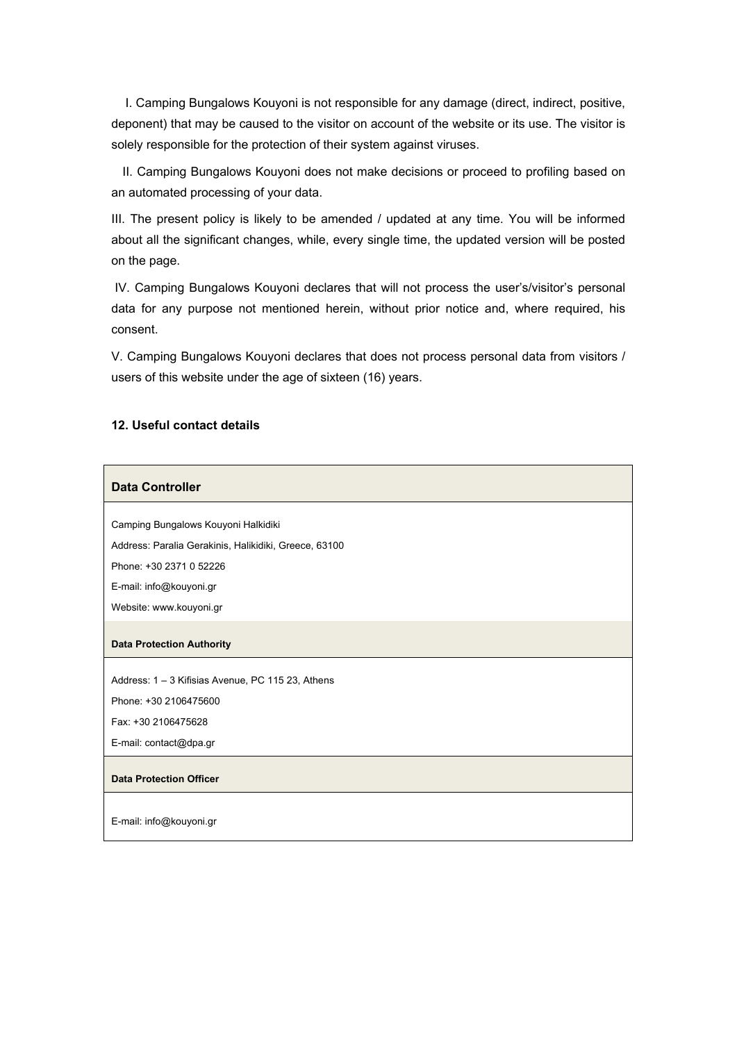I. Camping Bungalows Kouyoni is not responsible for any damage (direct, indirect, positive, deponent) that may be caused to the visitor on account of the website or its use. The visitor is solely responsible for the protection of their system against viruses.

 II. Camping Bungalows Kouyoni does not make decisions or proceed to profiling based on an automated processing of your data.

III. The present policy is likely to be amended / updated at any time. You will be informed about all the significant changes, while, every single time, the updated version will be posted on the page.

 IV. Camping Bungalows Kouyoni declares that will not process the user's/visitor's personal data for any purpose not mentioned herein, without prior notice and, where required, his consent.

V. Camping Bungalows Kouyoni declares that does not process personal data from visitors / users of this website under the age of sixteen (16) years.

# **12. Useful contact details**

#### **Data Controller**

Camping Bungalows Kouyoni Halkidiki

Address: Paralia Gerakinis, Halikidiki, Greece, 63100

Phone: +30 2371 0 52226

E-mail: info@kouyoni.gr

Website: www.kouyoni.gr

#### **Data Protection Authority**

Address: 1 – 3 Kifisias Avenue, PC 115 23, Athens

Phone: +30 2106475600

Fax: +30 2106475628

E-mail: contact@dpa.gr

#### **Data Protection Officer**

E-mail: info@kouyoni.gr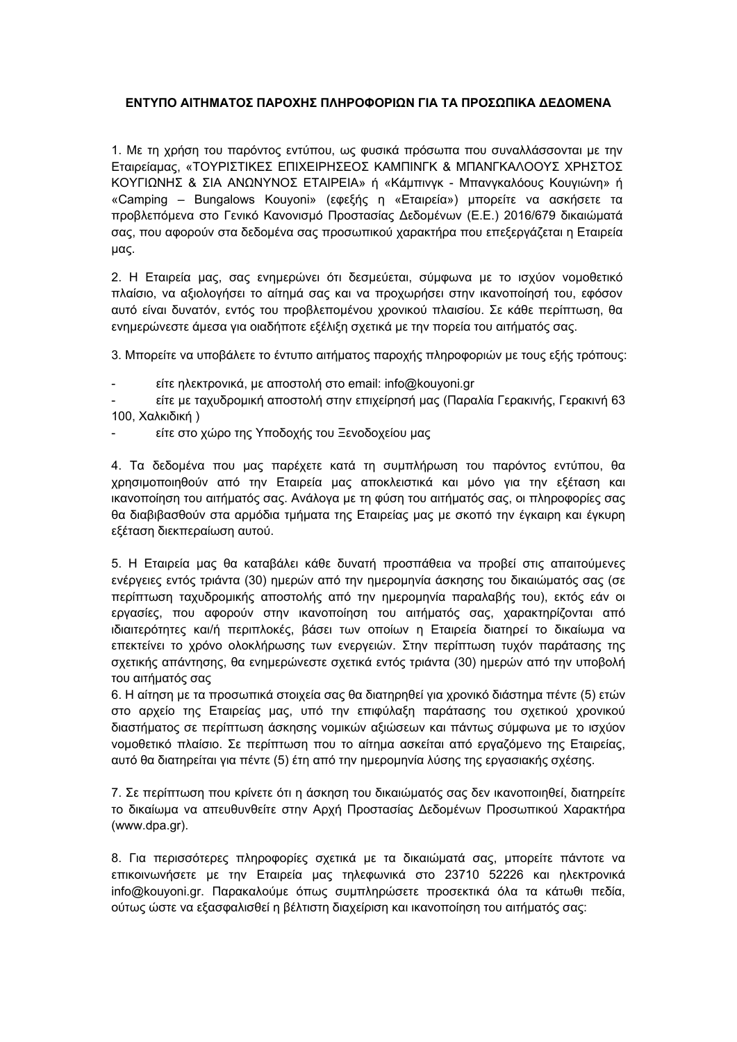# **ΕΝΤΥΠΟ ΑΙΤΗΜΑΤΟΣ ΠΑΡΟΧΗΣ ΠΛΗΡΟΦΟΡΙΩΝ ΓΙΑ ΤΑ ΠΡΟΣΩΠΙΚΑ ΔΕΔΟΜΕΝΑ**

1. Με τη χρήση του παρόντος εντύπου, ως φυσικά πρόσωπα που συναλλάσσονται με την Εταιρείαμας, «ΤΟΥΡΙΣΤΙΚΕΣ ΕΠΙΧΕΙΡΗΣΕΟΣ ΚΑΜΠΙΝΓΚ & ΜΠΑΝΓΚΑΛΟΟΥΣ ΧΡΗΣΤΟΣ ΚΟΥΓΙΩΝΗΣ & ΣΙΑ ΑΝΩΝΥΝΟΣ ΕΤΑΙΡΕΙΑ» ή «Κάμπινγκ - Μπανγκαλόους Κουγιώνη» ή «Camping – Bungalows Kouyoni» (εφεξής η «Εταιρεία») μπορείτε να ασκήσετε τα προβλεπόμενα στο Γενικό Κανονισμό Προστασίας Δεδομένων (E.E.) 2016/679 δικαιώματά σας, που αφορούν στα δεδομένα σας προσωπικού χαρακτήρα που επεξεργάζεται η Εταιρεία μας.

2. Η Εταιρεία μας, σας ενημερώνει ότι δεσμεύεται, σύμφωνα με το ισχύον νομοθετικό πλαίσιο, να αξιολογήσει το αίτημά σας και να προχωρήσει στην ικανοποίησή του, εφόσον αυτό είναι δυνατόν, εντός του προβλεπομένου χρονικού πλαισίου. Σε κάθε περίπτωση, θα ενημερώνεστε άμεσα για οιαδήποτε εξέλιξη σχετικά με την πορεία του αιτήματός σας.

3. Μπορείτε να υποβάλετε το έντυπο αιτήματος παροχής πληροφοριών με τους εξής τρόπους:

- είτε ηλεκτρονικά, με αποστολή στο email: info@kouyoni.gr

- είτε με ταχυδρομική αποστολή στην επιχείρησή μας (Παραλία Γερακινής, Γερακινή 63 100, Χαλκιδική )

- είτε στο χώρο της Υποδοχής του Ξενοδοχείου μας

4. Τα δεδομένα που μας παρέχετε κατά τη συμπλήρωση του παρόντος εντύπου, θα χρησιμοποιηθούν από την Εταιρεία μας αποκλειστικά και μόνο για την εξέταση και ικανοποίηση του αιτήματός σας. Ανάλογα με τη φύση του αιτήματός σας, οι πληροφορίες σας θα διαβιβασθούν στα αρμόδια τμήματα της Εταιρείας μας με σκοπό την έγκαιρη και έγκυρη εξέταση διεκπεραίωση αυτού.

5. Η Εταιρεία μας θα καταβάλει κάθε δυνατή προσπάθεια να προβεί στις απαιτούμενες ενέργειες εντός τριάντα (30) ημερών από την ημερομηνία άσκησης του δικαιώματός σας (σε περίπτωση ταχυδρομικής αποστολής από την ημερομηνία παραλαβής του), εκτός εάν οι εργασίες, που αφορούν στην ικανοποίηση του αιτήματός σας, χαρακτηρίζονται από ιδιαιτερότητες και/ή περιπλοκές, βάσει των οποίων η Εταιρεία διατηρεί το δικαίωμα να επεκτείνει το χρόνο ολοκλήρωσης των ενεργειών. Στην περίπτωση τυχόν παράτασης της σχετικής απάντησης, θα ενημερώνεστε σχετικά εντός τριάντα (30) ημερών από την υποβολή του αιτήματός σας

6. Η αίτηση με τα προσωπικά στοιχεία σας θα διατηρηθεί για χρονικό διάστημα πέντε (5) ετών στο αρχείο της Εταιρείας μας, υπό την επιφύλαξη παράτασης του σχετικού χρονικού διαστήματος σε περίπτωση άσκησης νομικών αξιώσεων και πάντως σύμφωνα με το ισχύον νομοθετικό πλαίσιο. Σε περίπτωση που το αίτημα ασκείται από εργαζόμενο της Εταιρείας, αυτό θα διατηρείται για πέντε (5) έτη από την ημερομηνία λύσης της εργασιακής σχέσης.

7. Σε περίπτωση που κρίνετε ότι η άσκηση του δικαιώματός σας δεν ικανοποιηθεί, διατηρείτε το δικαίωμα να απευθυνθείτε στην Αρχή Προστασίας Δεδομένων Προσωπικού Χαρακτήρα (www.dpa.gr).

8. Για περισσότερες πληροφορίες σχετικά με τα δικαιώματά σας, μπορείτε πάντοτε να επικοινωνήσετε με την Εταιρεία μας τηλεφωνικά στο 23710 52226 και ηλεκτρονικά info@kouyoni.gr. Παρακαλούμε όπως συμπληρώσετε προσεκτικά όλα τα κάτωθι πεδία, ούτως ώστε να εξασφαλισθεί η βέλτιστη διαχείριση και ικανοποίηση του αιτήματός σας: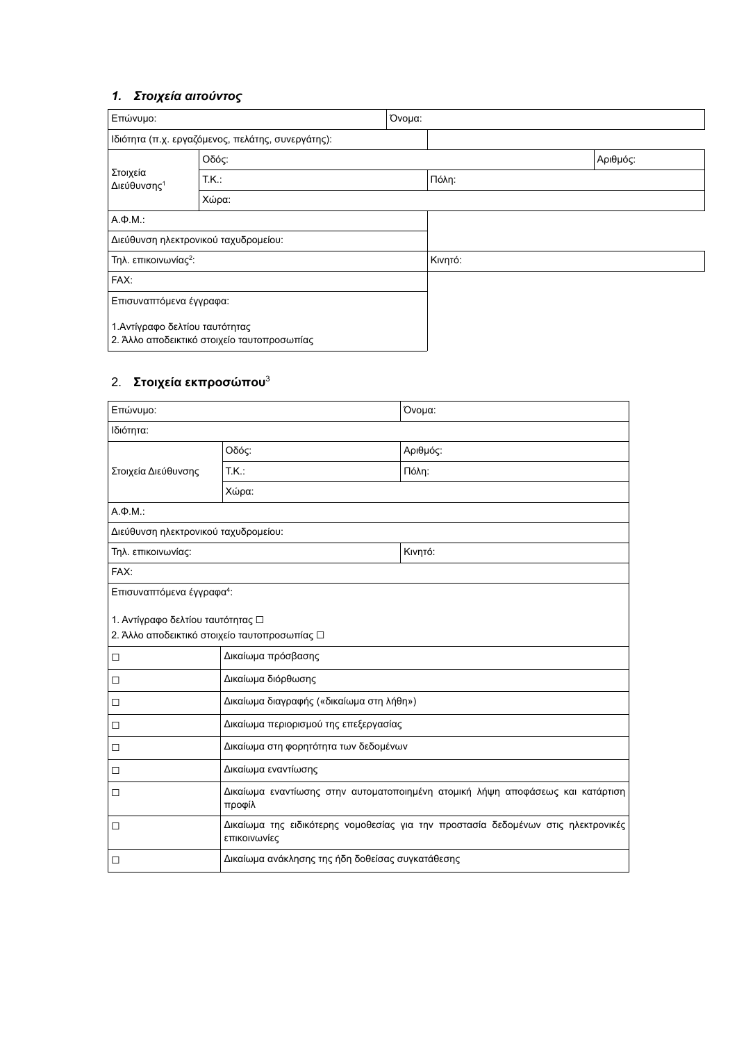# *1. Στοιχεία αιτούντος*

| Επώνυμο:                                          | Όνομα:                                      |         |       |          |
|---------------------------------------------------|---------------------------------------------|---------|-------|----------|
| Ιδιότητα (π.χ. εργαζόμενος, πελάτης, συνεργάτης): |                                             |         |       |          |
| Στοιχεία<br>Διεύθυνσης <sup>1</sup>               | Οδός:                                       |         |       | Αριθμός: |
|                                                   | TK.                                         |         | Πόλη: |          |
|                                                   | Χώρα:                                       |         |       |          |
| $A \Phi M$ .                                      |                                             |         |       |          |
|                                                   | Διεύθυνση ηλεκτρονικού ταχυδρομείου:        |         |       |          |
| Τηλ. επικοινωνίας <sup>2</sup> :                  |                                             | Κινητό: |       |          |
| FAX:                                              |                                             |         |       |          |
| Επισυναπτόμενα έγγραφα:                           |                                             |         |       |          |
| 1. Αντίγραφο δελτίου ταυτότητας                   | 2. Άλλο αποδεικτικό στοιχείο ταυτοπροσωπίας |         |       |          |

# 2. **Στοιχεία εκπροσώπου**<sup>3</sup>

| Επώνυμο:                                                                           | Όνομα:                                                                                            |          |  |  |
|------------------------------------------------------------------------------------|---------------------------------------------------------------------------------------------------|----------|--|--|
| Ιδιότητα:                                                                          |                                                                                                   |          |  |  |
| Στοιχεία Διεύθυνσης                                                                | Οδός:                                                                                             | Αριθμός: |  |  |
|                                                                                    | T.K.                                                                                              | Πόλη:    |  |  |
|                                                                                    | Χώρα:                                                                                             |          |  |  |
| $A.\Phi.M.$                                                                        |                                                                                                   |          |  |  |
| Διεύθυνση ηλεκτρονικού ταχυδρομείου:                                               |                                                                                                   |          |  |  |
| Τηλ. επικοινωνίας:                                                                 |                                                                                                   | Κινητό:  |  |  |
| FAX:                                                                               |                                                                                                   |          |  |  |
| Επισυναπτόμενα έγγραφα <sup>4</sup> :                                              |                                                                                                   |          |  |  |
| 1. Αντίγραφο δελτίου ταυτότητας □<br>2. Άλλο αποδεικτικό στοιχείο ταυτοπροσωπίας □ |                                                                                                   |          |  |  |
| $\Box$                                                                             | Δικαίωμα πρόσβασης                                                                                |          |  |  |
| $\Box$                                                                             | Δικαίωμα διόρθωσης                                                                                |          |  |  |
| □                                                                                  | Δικαίωμα διαγραφής («δικαίωμα στη λήθη»)                                                          |          |  |  |
| □                                                                                  | Δικαίωμα περιορισμού της επεξεργασίας                                                             |          |  |  |
| $\Box$                                                                             | Δικαίωμα στη φορητότητα των δεδομένων                                                             |          |  |  |
| $\Box$                                                                             | Δικαίωμα εναντίωσης                                                                               |          |  |  |
| □                                                                                  | Δικαίωμα εναντίωσης στην αυτοματοποιημένη ατομική λήψη αποφάσεως και κατάρτιση<br>προφίλ          |          |  |  |
| $\Box$                                                                             | Δικαίωμα της ειδικότερης νομοθεσίας για την προστασία δεδομένων στις ηλεκτρονικές<br>επικοινωνίες |          |  |  |
| □                                                                                  | Δικαίωμα ανάκλησης της ήδη δοθείσας συγκατάθεσης                                                  |          |  |  |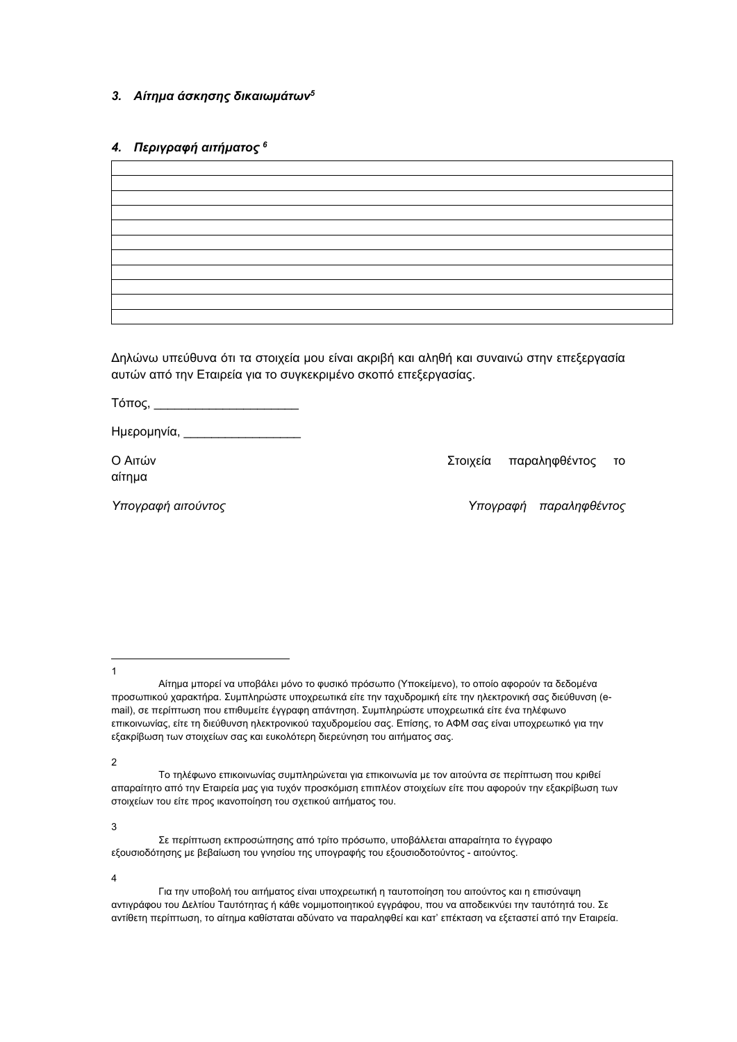# *3. Αίτημα άσκησης δικαιωμάτων<sup>5</sup>*

# *4. Περιγραφή αιτήματος <sup>6</sup>*

Δηλώνω υπεύθυνα ότι τα στοιχεία μου είναι ακριβή και αληθή και συναινώ στην επεξεργασία αυτών από την Εταιρεία για το συγκεκριμένο σκοπό επεξεργασίας.

Τόπος, \_\_\_\_\_\_\_\_\_\_\_\_\_\_\_\_\_\_\_\_\_

Ημερομηνία, \_\_\_\_\_\_\_\_\_\_\_\_\_\_\_\_\_

αίτημα

Ο Αιτών Στοιχεία παραληφθέντος το

*Υπογραφή αιτούντος Υπογραφή παραληφθέντος*

1

2

3

 Σε περίπτωση εκπροσώπησης από τρίτο πρόσωπο, υποβάλλεται απαραίτητα το έγγραφο εξουσιοδότησης με βεβαίωση του γνησίου της υπογραφής του εξουσιοδοτούντος - αιτούντος.

4

Αίτημα μπορεί να υποβάλει μόνο το φυσικό πρόσωπο (Υποκείμενο), το οποίο αφορούν τα δεδομένα προσωπικού χαρακτήρα. Συμπληρώστε υποχρεωτικά είτε την ταχυδρομική είτε την ηλεκτρονική σας διεύθυνση (email), σε περίπτωση που επιθυμείτε έγγραφη απάντηση. Συμπληρώστε υποχρεωτικά είτε ένα τηλέφωνο επικοινωνίας, είτε τη διεύθυνση ηλεκτρονικού ταχυδρομείου σας. Επίσης, το ΑΦΜ σας είναι υποχρεωτικό για την εξακρίβωση των στοιχείων σας και ευκολότερη διερεύνηση του αιτήματος σας.

Το τηλέφωνο επικοινωνίας συμπληρώνεται για επικοινωνία με τον αιτούντα σε περίπτωση που κριθεί απαραίτητο από την Εταιρεία μας για τυχόν προσκόμιση επιπλέον στοιχείων είτε που αφορούν την εξακρίβωση των στοιχείων του είτε προς ικανοποίηση του σχετικού αιτήματος του.

Για την υποβολή του αιτήματος είναι υποχρεωτική η ταυτοποίηση του αιτούντος και η επισύναψη αντιγράφου του Δελτίου Ταυτότητας ή κάθε νομιμοποιητικού εγγράφου, που να αποδεικνύει την ταυτότητά του. Σε αντίθετη περίπτωση, το αίτημα καθίσταται αδύνατο να παραληφθεί και κατ' επέκταση να εξεταστεί από την Εταιρεία.